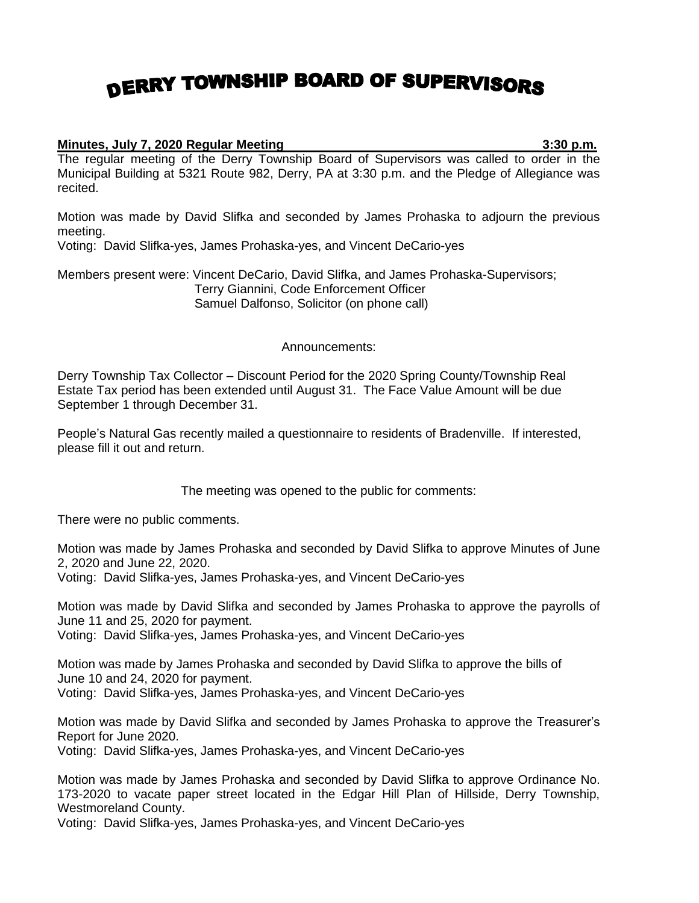## DERRY TOWNSHIP BOARD OF SUPERVISORS

## **Minutes, July 7, 2020 Regular Meeting 3:30 p.m.**

The regular meeting of the Derry Township Board of Supervisors was called to order in the Municipal Building at 5321 Route 982, Derry, PA at 3:30 p.m. and the Pledge of Allegiance was recited.

Motion was made by David Slifka and seconded by James Prohaska to adjourn the previous meeting.

Voting: David Slifka-yes, James Prohaska-yes, and Vincent DeCario-yes

Members present were: Vincent DeCario, David Slifka, and James Prohaska-Supervisors; Terry Giannini, Code Enforcement Officer Samuel Dalfonso, Solicitor (on phone call)

## Announcements:

Derry Township Tax Collector – Discount Period for the 2020 Spring County/Township Real Estate Tax period has been extended until August 31. The Face Value Amount will be due September 1 through December 31.

People's Natural Gas recently mailed a questionnaire to residents of Bradenville. If interested, please fill it out and return.

The meeting was opened to the public for comments:

There were no public comments.

Motion was made by James Prohaska and seconded by David Slifka to approve Minutes of June 2, 2020 and June 22, 2020.

Voting: David Slifka-yes, James Prohaska-yes, and Vincent DeCario-yes

Motion was made by David Slifka and seconded by James Prohaska to approve the payrolls of June 11 and 25, 2020 for payment.

Voting: David Slifka-yes, James Prohaska-yes, and Vincent DeCario-yes

Motion was made by James Prohaska and seconded by David Slifka to approve the bills of June 10 and 24, 2020 for payment.

Voting: David Slifka-yes, James Prohaska-yes, and Vincent DeCario-yes

Motion was made by David Slifka and seconded by James Prohaska to approve the Treasurer's Report for June 2020.

Voting: David Slifka-yes, James Prohaska-yes, and Vincent DeCario-yes

Motion was made by James Prohaska and seconded by David Slifka to approve Ordinance No. 173-2020 to vacate paper street located in the Edgar Hill Plan of Hillside, Derry Township, Westmoreland County.

Voting: David Slifka-yes, James Prohaska-yes, and Vincent DeCario-yes